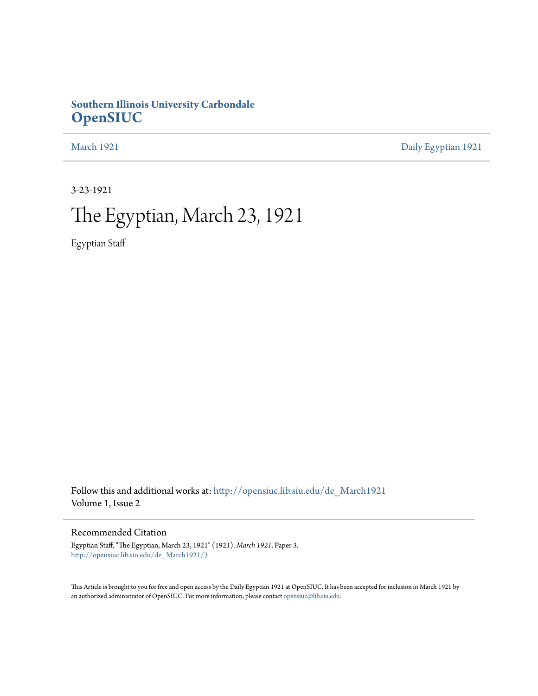## **Southern Illinois University Carbondale [OpenSIUC](http://opensiuc.lib.siu.edu?utm_source=opensiuc.lib.siu.edu%2Fde_March1921%2F3&utm_medium=PDF&utm_campaign=PDFCoverPages)**

[March 1921](http://opensiuc.lib.siu.edu/de_March1921?utm_source=opensiuc.lib.siu.edu%2Fde_March1921%2F3&utm_medium=PDF&utm_campaign=PDFCoverPages) [Daily Egyptian 1921](http://opensiuc.lib.siu.edu/de_1921?utm_source=opensiuc.lib.siu.edu%2Fde_March1921%2F3&utm_medium=PDF&utm_campaign=PDFCoverPages)

3-23-1921

## The Egyptian, March 23, 1921

Egyptian Staff

Follow this and additional works at: [http://opensiuc.lib.siu.edu/de\\_March1921](http://opensiuc.lib.siu.edu/de_March1921?utm_source=opensiuc.lib.siu.edu%2Fde_March1921%2F3&utm_medium=PDF&utm_campaign=PDFCoverPages) Volume 1, Issue 2

Recommended Citation

Egyptian Staff, "The Egyptian, March 23, 1921" (1921). *March 1921.* Paper 3. [http://opensiuc.lib.siu.edu/de\\_March1921/3](http://opensiuc.lib.siu.edu/de_March1921/3?utm_source=opensiuc.lib.siu.edu%2Fde_March1921%2F3&utm_medium=PDF&utm_campaign=PDFCoverPages)

This Article is brought to you for free and open access by the Daily Egyptian 1921 at OpenSIUC. It has been accepted for inclusion in March 1921 by an authorized administrator of OpenSIUC. For more information, please contact [opensiuc@lib.siu.edu.](mailto:opensiuc@lib.siu.edu)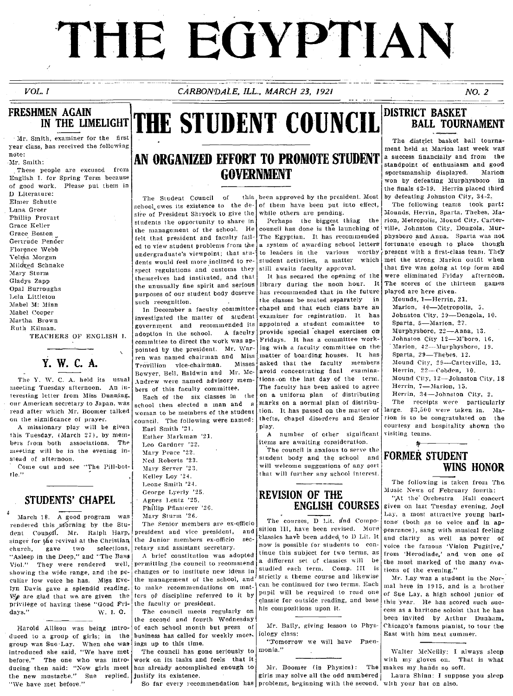# THE EGYPTIAN

## $VOL. I$

CARBONDALE, ILL., MARCH 23, 1921

**THE STUDENT COUNCIL** 

 $NO.2$ 

## **FRESHMEN AGAIN** IN THE LIMELIGHT

Mr. Smith, examiner for the first year class, has received the following note: Mr. Smith:

These people are excused from English I. for Spring Term because of good work. Please put them in D Literature: Elmer Schutte Luna Greer Phillip Provart Grace Keller Grace Boston Gertrude Pender Florence Webb Velma Morgan Mildred Schnake Mary Sturm Gladys Zapp Opal Burroughs Lela Littleton Mabel M: Minn Mabel Cooper Martha Brown Ruth Kilman.

TEACHERS OF ENGLISH I.

The Y. W. C. A. held its usual meeting Tuesday afternoon. An interesting letter from Miss Dunning, our American secretary to Japan, was read after which Mr. Boomer talked on the significance of prayer.

Y. W. C. A.

A missionary play will be given this Tuesday, (March 27), by members from both associations. The meeting will be in the evening instead of afternoon.

Come out and see "The Pill-bot- $10e$ 

## STUDENTS' CHAPEL

March 18. A good program was rendered this morning by the Student Coungil. Mr. Ralph Harp, singer for the revival at the Christian church. gave two selections. "Asleep in the Deep," and "The Bass Viol." They were rendered well, showing the wide range, and the peculiar low voice he has. Miss Evelyn Davis gave a splendid reading. We are glad that we are given the privilege of having these "Good Fri-W. I. G. days."

Harold Allison was being introduced to a group of girls; in the group was Sue Lay. When she was introduced she said, "We have met before." The one who was introducing then said: "Now girls meet the new mustache." Sue replied, justify its existence. "We have met before."

## AN ORGANIZED EFFORT TO PROMOTE STUDENT **GOVERNMENT**

The Student Council of school owes its existence to the desire of President Shryock to give the students the opportunity to share in the management of the school. He felt that president and faculty failed to view student problems from the undergraduate's viewpoint; that students would feel more inclined to respect regulations and customs they themselves had instituted, and that the unusually fine spirit and serious purposes of our student body deserve such recognition.

In December a faculty committee investigated the matter of student government and recommended its adoption in the school. A faculty committee to direct the work was appointed by the president. Mr. War ren was named chairman and Miss Misses Trovillion vice-chairman. Bowyer, Bell, Baldwin and Mr. Mc-Andrew were named advisory members of this faculty committee.

Each of the six classes in  $1he$ school then elected a man and woman to be members of the student council. The following were named: Earl Smith '21.

Esther Markman '21. Leo Gardner '22. Mary Peace '22. Ned Roberts '23. Mary Server '23. Kelley Loy '24. Leone Smith '24. George Lyerly '25. Agnes Lentz '25. Phillip Pflasterer '26. Mary Sturm '26.

The Senior members are ex-officio president and vice president, and the Junior members ex-officio secretary and assistant secretary.

A brief constitution was adopted permitting the council to recommend changes or to institute new ideas in the management of the school, and to make recommendations on matters of discipline referred to it by the faculty or president.

The council meets regularly on the second and fourth Wednesday of each school month but press of business has called for weekly meetings up to this time.

The council has gone seriously to work on its tasks and feels that it has already accomplished enough to

So far every recommendation has problems, beginning with the second. with your hat on also.

this been approved by the president. Most of them have been put into effect, while others are pending.

Perhaps the biggest thing the council has done is the launching of The Egyptian. It has recommended a system of awarding school letters to leaders in the various worthy student activities, a matter which still awaits faculty approval.

It has secured the opening of the library during the noon hour.  $1<sup>t</sup>$ has recommended that in the future the classes be seated separately chapel and that each class have an examiner for registration. It has appointed a student committee  $\pm$ 0 provide special chapel exercises on Fridays. It has a committee working with a faculty committee on the matter of boarding houses. It has asked that the faculty members avoid concentrating final examinations on the last day of the term. The faculty has been asked to agree on a uniform plan of distributing marks on a normal plan of distribution. It has passed on the matter of thefts, chapel disorders and Senior play.

A number of other significant items are awaiting consideration.

The council is anxious to serve the student body and the school and will welcome suggestions of any sort that will further any school interest.

## **REVISION OF THE ENGLISH COURSES**

The courses, D Lit. and Composition III, have been revised. More classics have been added to D Lit. It now is possible for students to continue this subject for two terms, as a different set of classics will be studied each term. Comp. III is strictly a theme course and likewise can be continued for two terms. Each pupil will be required to read one classic for outside reading, and base his compositions upon it.

Mr. Baily, giving lesson to Physiology class:

"Tomorrow we will have Pneumonia."

Mr. Boomer (in Physics): The makes my hands so soft. girls may solve all the odd numbered | Laura Shinn: I suppose you sleep

## **DISTRICT BASKET BALL TOURNAMENT**

The district basket ball tournament held at Marion last week was a success financially and from the standpoint of enthusiasm and good sportsmanship displayed. Marion won by defeating Murphysboro in the finals 42-19. Herrin placed third by defeating Johnston City, 34-2.

The following teams took part: Mounds, Herrin, Sparta, Thebes, Marion, Metropolis, Mound City, Carterville, Johnston City, Dongola, Murphysboro and Anna. Sparta was not fortunate enough to place though present with a first-class team. They met the strong Marion outfit when that five was going at top form and were eliminated Friday afternoon. The scores of the thirteen games played are here given.

Mounds, 1-Herrin, 21. Marion, 40-Metropolis, 5. Johnston City, 29-Dongola, 10. Sparta, 5-Marion, 27. Murphysboro, 22-Anna, 13. Johnston City 12-M'boro, 16. Marion, 42---Murphysboro, 19. Sparta, 29-Thebes, 12. Mound City, 29-Carterville, 13. Herrin, 22-Cobden, 10. Mound City, 12-Johnston City, 18 Herrin, 7-Marion, 15. Herrin, 34-Johnston City, 2.

The receipts were particularly large. \$3,500 were taken in. Marion is to be congratulated on the courtesy and hospitality shown the visiting teams.

## **FORMER STUDENT** WINS HONOR

角

The following is taken from The Music News of February fourth:

"At the Orchestra Hall concert given on last Tuesday evening, Joel Lay, a most attractive young baritone (both as to voice and in appearance), sang with musical feeling and clarity as well as power of voice the famous 'Vision Fugitive,' from 'Herodiade,' and won one of the most marked of the many ovations of the evening."

Mr. Lay was a student in the Normal here in 1915, and is a brother of Sue Lay, a high school junior of this year. He has scored such success as a baritone soloist that he has been invited by Arthur Dunham, Chicago's famous pianist, to tour the East with him next summer.

Walter McNeilly: I always sleep with my gloves on. That is what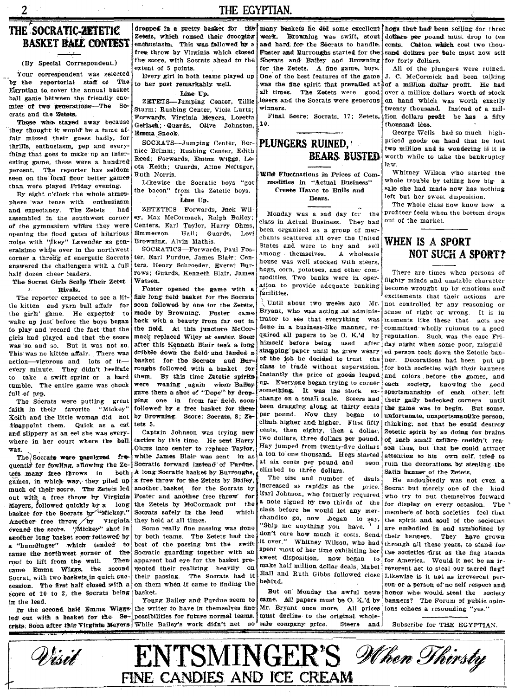THE EGYPTIAN.

## THE SOCRATIC-ZETETIC **BASKET BALE CONTEST**

 $\overline{2}$ 

(By Special Correspondent.)

Your correspondent was selected by the reportorial staff of The Egyptian to cover the annual basket ball game between the friendly enemies of two generations-The Socrats and the Zetats.

Those who staved away because they thought it would be a tame affair missed their guess badly, for thrills, enthusiasm, pep and everything that goes to make up an interesting game, these were a hundred percent. The reporter has seldom seen on the local floor better games than were played Friday evening.

By eight o'clock the whole atmosphere was tense with enthusiasm and expectancy. The Zetets had assembled in the southwest corner of the gymnasium where they were opening the flood gates of hilarious noise with "*fkey*" Lavender as generalsimo while over in the northwest corner a throug of energetic Socrats answered the challengers with a full half dozen cheer leaders.

The Socrat Girls Scalp Their Zetet  $\mathbf{x}$ Rivals.

The reporter expected to see a little kitten and yarn ball affair for the girls' game. He expected to wake up just before the boys began to play and record the fact that the girls had played and that the score was so and so. But it was not so. This was no kitten affair. There was action-vigorous and lots of itevery minute. They didn't hesitate to take a swift sprint or a hard tumble. The entire game was chock full of nep.

The Socrats were putting great faith in their favorite "Mickey Keith and the little woman did not disappoint them. Ouick as a cat and slippery as an eel she was everywhere in her court where the ball was.

The Socrate were paralyzed frequently for fowling, allowing the Zetets many free throws in both games, in which way, they piled up much of their score. The Zetets led out with a free throw by Virginia Meyers, followed quickly by a long basket for the Socrats by "Mickey." Another free throw by Virginia evened the score. "Mickey" shot in another long basket soon followed by a "humdinger" which tended  $t\sigma$ cause the northwest corner of the roof to lift from the wall. Then came Emma Wiggs, the second Socrat, with two baskets in quick succession. The first half closed with a score of 10 to 2, the Socrats being in the lead.

In the second half Emma Wiggsled out with a basket for the Socrats. Soon after this Virginia Meyers While Bailey's work didn't net

dresped in a pretty basket for the Zetets, which roused their drooping enthusiasm. This was followed by a free throw by Virginia which closed the score, with Socrats ahead to the extent of 5 points.

Every girl in both teams played up to her post remarkably well.

Line Up.

ZETETS-Jumping Center, Tillie Sturm; Rushing Center, Viola Lurtz; Forwards, Virginia Meyers, Loretta Gerlach; Guards, Olive Johnston, Emma Snook.

SOCRATS-Jumping Center, Bernice Brimm; Rushing Center, Edith Reed; Forwards, Emma Wiggs, Leota Keith; Guards, Aline Neftzger, Ruth Norris.

Likewise the Socratic boys "got the bacon" from the Zetetic boys. Line Up.

ZETETICS-Forwards. Jack Wiley, Max McCormack, Ralph Bailey; Centers, Earl Taylor, Harry Ohms, Emmerson Hall: Guards, Levi Browning, Alvin Mathis.

SOCRATICS-Ferwards Paul Forter, Earl Purdue, James Blair; Centers, Henry Schroeder, Everet Burrows; Guards, Kenneth Blair, James Watson.

Foster opened the game with a fine long field basket for the Socrats soon followed by one for the Zetets, made by Browning. Foster came back with a beauty from far out in the field. At this juncture McCormack replaced Wiley at center. Soon after this Kenneth Blair teek a long dribble down the field and landed a basket for the Socrats and Burroughs followed with a basket for them. By this time Zetetic spirits were waning again when Balley gave them a shot of "Dope" by dropping one in from far field, soon followed by a free basket for them by Browning. Score: Socrats, 8: Zetets 5.

Captain Johnson was trying new tactics by this time. He sent Harry Ohms into center to replace Taylor. while James Blair was sent in as Socratic forward instead of Purdue. A long Socratic basket by Burroughs a free throw for the Zetets by Bailey, another basket for the Socrats by Foster and another free throw for the Zetets by McCormack put the Socrats safely in the lead which they held at all times.

Some really fine passing was done by both teams. The Zetets had the best of the passing but the swift Socratic guarding together with an apparent bad eye for the basket prewented their realizing heavily on their passing. The Socrats had it on them when it came to finding the hasket.

Young Bailey and Purdue seem to the writer to have in themselves fine possibilities for future normal teams.  $80<sup>1</sup>$ 

and hard for the Secrats to handle. Foster and Burroughs started for the: Socrats and Bailey and Browning for the Zetets. A fine game, boys. One of the best features of the game was the fine spirit that prevailed at all times. The Zetets were good losers and the Socrats were generous *winners* 

Final Seere: Socrats, 17; Zetets,  $10.$ 



Wild Fluctuations in Prices of Commodities in "Actual Business" Create Havoc to Bulls and Bears.

Monday was a sad day for the class in Actual Business. They had been organized as a group of merchants scattered all over the United States and were to buy and sell among themselves. A wholesale house was well stocked with steers. hogs, corn, potatoes, and other commodities. Two banks were in operation to provide adequate banking facilities.

Until about two weeks ago Mr. Bryant, who was acting as administrator to see that everything was done in a business-like manner, required all papers to be O. K.'d by himself before being used after stamping paper until he grew weary of the job he decided to trust the class to trade without supervision. Instantly the price of goods leaped up. Everyone began trying to corner something. It was the stock  $e\tau$ change on a small scale. Steers had been dragging along at thirty cents per pound. Now they began  $10$ climb higher and higher. First fifty cents, then eighty, then a dollar, two dollars, three dollars per pound. Hay jumped from twenty-five dollars a ton to one thousand. Hogs started at six cents per pound and soon climbed to three dollars.

The size and number of duals increased as rapidly as the price. Earl Johnson, who formerly required a note signed by two thirds of the class before he would let any merchandise go, now began to say 'Ship me anything you have. don't care how much it costs. Send, it over." Whitney Wilson, who had spent most of her time exhibiting her sweet disposition, now began make half million dollar deals. Mabel Hall and Ruth Gibbs followed close behind.

But on Monday the awful newscame. All papers must be O. K.'d by Mr. Bryant once more. All prices ions echoes a resounding "yes." must decline to the original wholesale conroany price. **Steers** and

many baskets he did some excellent hogs that had been selling for three work. Browning was swift, stout dollars per pound must drop to ten cents. Cotton which cost two thousand dollars per bale must now sell for forty dollars.

> All of the plungers were ruined. J. C. McCormick had been talking of a million dollar profit. He had over a million dollars worth of stock on hand which was worth exactly twenty thousand. Instead of a million dollars profit he has a fifty thousand loss.

> George Wells had so much highpriced goods on hand that he lost two million and is wondering if it is worth while to take the bankruptcy law.

> Whitney Wilson who started the whole trouble by telling how big a sale she had made now has nothing left but her sweet disposition.

The whole class now know how a profiteer feels when the bottom drops out of the market

## WHEN IS A SPORT NOT SUCH A SPORT?

There are times when persons of flighty minds and unstable character become wrought up by emotions and excitements that their actions are not controlled by any reasoning or sense of right or wrong. It is in moments like these that acts are committed wholly ruinous to a good reputation. Such was the case Friday night when some poor, misguided person took down the Zetetic banner. Decorations had been put up for both societies with their banners and colors before the games, and each society, knowing the good sportsmanship of each other, left their gaily bedecked corners until the game was to begin. But some. unfortunate, unsportsmanlike person, thinking, not that he could destroy 2etetic spirit by so doing for brains of such small catiore couldn't reason thus, but that he could attract attention to his own self, tried to ruin the decorations by stealing the Satin hanner of the Zetets.

He undoubtedly was not even a Socrat but merely one of the kind who try to put themselves forward for display on every occasion. The members of both societies feel that the spirit and soul of the societies are embodied in and symbolized by their banners. They have grown: through all these years, to stand for the societies first as the flag stands for America. Would it not be an irreverent act to steal our sacred flag? Likewise is it not as irreverent person or a person of no self respect and honor who would steal the society banners? The Forum of public opin-

Subscribe for THE EGYPTIAN.

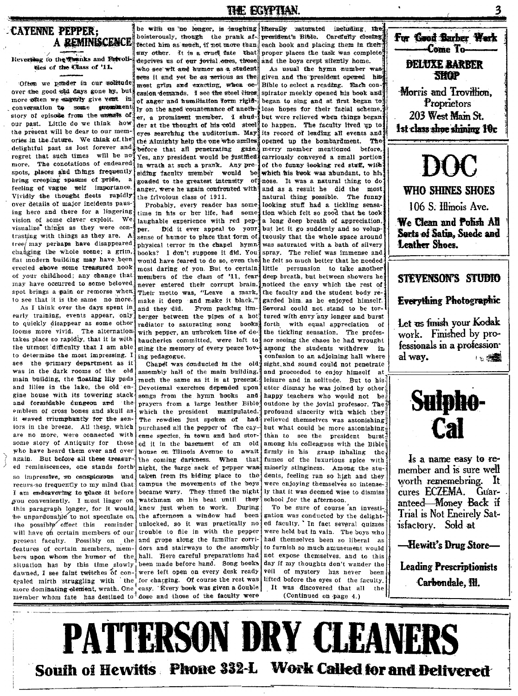## CAYENNE PEPPER: A REMINISCENCE

Reversing to the Tranks and Brivolities of the Class of '11.

Often we pender in our solitude over the good old days gone by, but more witten we sagerly give vent in conversation to some myoniment story of episode from the annuals of our past. Little do we think how the present will be dear to our memories in the future. We think of the delightful past as lost forever and regret that such times will be not more. The conotations of endeared: spots, places and things frequently bring creeping spasms of pride, a feeling of vague self importance. Vividly the thought fleets rapidly over details of major incidents pausing here and there for a lingering vision of some clever exploit. We visualize things as they were contrasting with things as they are. A tree/ may perhaps have disappeared changing the whole scene; a grim, flat modern building may have been erected above some treasured nook of your childhood; any change that may have occurred to some beloved spot brings a pain or remorse when to see that it is the same no more.

As I think over the days spent in early training, events appear, only to quickly disappear as some other looms more vivid. The alternation takes place so rapidly, that it is with the utmost difficulty that I am able to determine the most impressing. I see the primary department as it was in the dark rooms of the old main building, the floating lily pads and lilies in the lake, the old engine house with its towering stack and formidable dungeon and the emblem of cross bones and skull as it waved triumphantly for the saniors in the breeze. All these, which are no more, were connected with some story of Antiquity for those who have heard them over and over again. But before all these treasured reminiscences, one stands forth so impressive, go conspicuous and recurs-so frequently to my mind that I am endeavoring to place it before you conveniently. I must linger on this paragraph longer, for it would, be unpardonable to not speculate on the possibly effect this reminder will have on certain members of our present faculty. Possibly on the features of certain members, members upon whom the humor of the situation has by this time slowly dawned, I see faint twitches of concealed mirth struggling with the for charging. Of course the rest was more dominating element, wrath. One easy. Every book was given a double member whom fate has destined to dose and those of the faculty were

be with as no longer, is laughing Herally saturated including the boisterously, though the prank affected him as much, if not more than any other. It is a cruel fate that deprives us of our fovial ones, those who see wit and burnor as a student sees it and yet be as serious as the most grim and exacting, when occasion demands. I see the steel lines of anger and humiliation form rigidly on the aged countenance of another, a prominent member. I shudder at the thought of his cold steel cress searching the auditorium. May the Almighty help the one who smiles before that all penetrating gaże. Yes, any president would be justified in wrath at such a prank. Any presiding faculty member would **he** goaded to the greatest intensity of anger were he again confronted with the frivolous class of 1911.

Probably, every reader has some time in his or her life. had some laughable experience with red pep-Did it ever appeal to your ter. sense of humor to place that form of physical terror in the chanel hymn. books? I don't suppose it did. You would have feared to do so, even the most daring of you. But to certain members of the class of '11, fear never entered their corrupt brain. Their motto was, "Leave a mark, make it deep and make it black,' and they did. From packing limberger between the pipes of a hot radiator to saturating song books with pepper, an unbroken line of debaucheries committed, were left to sting the memory of every peace loving pedagogue.

Chapel was conducted in the old assembly hall of the main building, much the same as it is at present. Devotional exercises depended upon songs from the hymn books and prayers from a large leather Bible which the president manipulated. The rowdies just spoken of had purchased all the pepper of the cayenne species, in town and had stored it in the basement of an old house on Tilinois Avenue to await the coming darkness. When that night, the farge sack of pepper was taken from its hiding place to the campus the movements of the boys became wary. They timed the night watchman on his beat until they knew just when to work. During the afternoon a window had been unlocked, so it was practically no trouble to file in with the pepper and grope along the familiar corridors and stairways to the assembly hall. Here careful preparations had been made before hand. Song books were left open on every desk ready

president's Bible. Carefully closing each book and placing them in their proper places the task was complete and the boys crept sflently home.

**THE ECYPTIAN** 

As usual the hymn number was given and the president opened his Bible to select a reading. Each conspirator meekly opened his book and began to sing and at first began to lose hopes for their facial scheme, but were relieved when things began to happen. The faculty lived up to its record of leading all events and opened up the bombardment. The merry member mentioned before. carriously conveyed a small portion of the funny looking red stuff, with which his heak was abundant to his nose. It was a natural thing to do and as a result he did the most natural thing possible. The funny looking stuff had a tickling sensation which felt so good that he took a long deep breath of appreciation, but let it go suddenly and so voluptuously that the whole space around was saturated with a bath of silvery spray. The relief was immense and he felt so much better that he needed little persuasion to take another deep breath, but between showers he noticed the envy which the rest of the faculty and the student body regarded him as he enjoyed himself. Several could not stand to be tortured with envy any longer and burst forth with equal appreciation of the tickling sensation. The professor seeing the chaos he had wrought among the students withdrew in confusion to an adjoining hall where sight, and sound could not penetrate and proceeded to enjoy himself at leisure and in solitude. But to his utter dismay he was joined by other; hanny teachers who would not be outdone by the jovial professor. The profound sincerity with which they relieved themselves was astonishing but what could be more astonishing than to see the president burst among his colleagues with the Bible firmly in his grasp inhaling the, fumes of the luxurious spice with miserly stinginess. Among the students, feeling ran so high and they were enjoying themselves so intensely that it was deemed wise to dismiss school for the afternoon.

To be sure of course an investigation was conducted by the delighted faculty. In fact several quizzes were held but in vain. The boys who had themselves been so liberal as to furnish so much amusement would not expose themselves, and to this day if my thoughts don't wander the veil of mystery has never heen lifted before the eyes of the faculty. It was discovered that all the (Continued on page 4.)



**WHO SHINES SHOES** 

106 S. Illinois Ave.

We Clean and Polish All Sorts of Satin, Suede and Leather Shoes.

## STEVENSON'S STUDIO

## **Everything Photographic**

Let us finish your Kodak work. Finished by professionals in a professional way. 1 1: 19 19 19



Is a name easy to remember and is sure well worth rememebring. It cures ECZEMA. Guaranteed-Money Back if Trial is Not Eneirely Satisfactory. Sold at

-Hewitt's Drug Store-

**Leading Prescriptionists** Carbondale, Ill.

**PATTERSON DRY CLEANERS** South of Hewitts Phone 332-L Work Called for and Delivered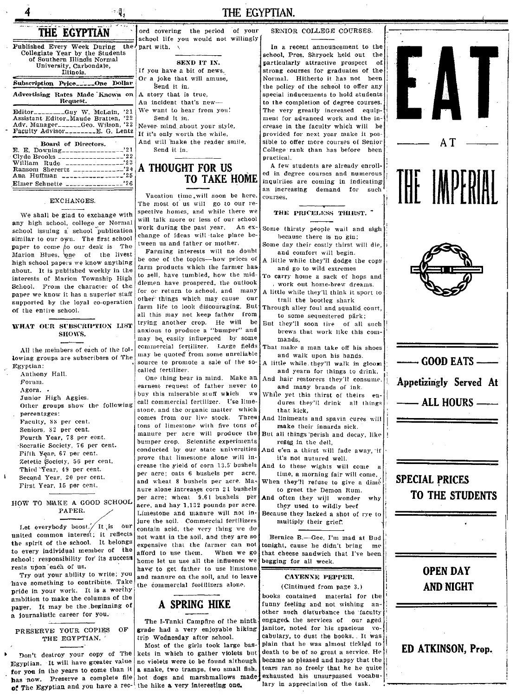## းပြု

## THE EGYPTIAN.

| THE EGYPTIAN<br>$\overline{\phantom{0}}$                                                                                                              | ord covering the period of your<br>school life you would not willingly                                                                                        |
|-------------------------------------------------------------------------------------------------------------------------------------------------------|---------------------------------------------------------------------------------------------------------------------------------------------------------------|
| Published Every Week During the!<br>Collegiate Year by the Students<br>of Southern Illinois Normal<br>University, Carbondale,<br>Illinois.            | part with. $\sqrt{ }$<br>SEND IT IN.<br>If you have a bit of news,                                                                                            |
| Subscription Price_____One Dollar                                                                                                                     | Or a joke that will amuse,<br>Send it in.                                                                                                                     |
| Advertising Rates Made Known on<br>Request.                                                                                                           | A story that is true.<br>An incident that's new-<br>We want to hear from you!<br>Send it in.<br>Never mind about your style.<br>If it's only worth the while. |
| Editor________Guy W. McLain, '21<br>Assistant Editor. Maude Bratten, '22<br>Adv. Manager______Geo. Wilson, '22<br>Faculty Advisor________E. G. Lentz. |                                                                                                                                                               |
| Board of Directors.<br>William Rude $\frac{1}{2}$<br>Ana Huffman $1.11$                                                                               | And will make the reader smile,<br>Send it in.<br>A THOUGHT FOR US<br><b>TO TAKE HOME</b>                                                                     |
| Elmer Schuette ________________ <sup>26</sup>                                                                                                         |                                                                                                                                                               |

#### EXCHANGES.

We shall be glad to exchange with any high school, college or Normal school issuing a school publication similar to our own. The first school paper to come to our desk is The Marion Blues, one of the livest high school papers we know anything about. It is published weekly in the interests of Marion Township High School. From the character of the paper we know it has a superior staff supported by the loyal co-operation of the entire school.

### WHAT OUR SUBSCRIPTION LIST SHOWS.

lowing groups are subscribers of The may be quoted from some unreliable All the members of each of the fol-Egyptian:

Anthony Hall. Forum.

Agora.

Junior High Aggles.

Other groups show the following percentages:

Faculty, 88 per cent. Seniors, 82 per cent. Fourth Year, 78 per cent. Socratic Society, 76 per cent. Fifth Year, 67 per cent. Zetetic Society, 56 per cent. Third Year, 49 per cent. Second Year, 20 per cent. First Year, 15 per cent.

HOW TO MAKE A GOOD SCHOOL PAPER.

Let everybody boost./ It is our united common interest; it reflects the spirit of the school. It belongs to every individual member of the school; responsibility for its success rests upon each of us.

Try out your ability to write; you have something to contribute. Take pride in your work. It is a worthy ambition to make the columns of the paper. It may be the beginning of a journalistic career for you.

#### PRESERVE YOUR COPIES  $\Omega$ F THE EGYPTIAN.

Egyptian. It will have greater value no violets were to be found although for you in the years to come than it a snake, two tramps, two small fish. has now. Preserve a complete file hot dogs and marshmallows made exhausted his unsurpassed vocabuof The Egyptian and you have a rec- the hike a very interesting one.

## A THOUGHT FOR US **TO TAKE HOME**

Vacation time, will soon be here. The most of us will go to our respective homes, and while there we will talk more or less of our school work during the past year. An exchange of ideas will take place between us and father or mother.

Farming interests will no doubt be one of the topics--how prices of farm products which the farmer has to sell, have tumbled, how the middlemen have prospered, the outlook for or return to school, and many other things which may cause our farm life to look discouraging. But all this may not keep father from trying another crop. He will be anxious to produce a "bumper" and may be easily influenced by some commercial fertilizer. Large fields source to promote a sale of the socalled fertilizer.

One thing bear in mind. Make an earnest request of father never to buy this miserable stuff which we call commercial fertilizer. Use limestone, and the organic matter which comes from our live stock. Three tons of limestone with five tons of manure per acre will produce the bumper crop. Scientific experiments conducted by our state universities prove that limestone alone will increase the yield of corn 13.5 bushels per acre; oats 6 bushels per acre, and wheat 8 bushels per acre. Manure alone increases corn 21 bushels per acre; wheat 9.61 bushels per acre, and hay 1,132 pounds per acre. Limestone and manure will not injure the soil. Commercial fertilizers contain acid, the very thing we do not want in the soil, and they are so expensive that the farmer can not afford to use them. When we go home let us use all the influence we have to get father to use limstone and manure on the soil, and to leave the commercial fertilizers alone.

## A SPRING HIKE

The I-Tanki Campfire of the ninthgrade had a very enjoyable hiking trip Wednesday after school.

Most of the girls took large bas-Don't destroy your copy of The kets in which to gather violets but

## SENIOR COLLEGE COURSES.

In a recent announcement to the school, Pres. Shryock held out the particularly attractive prospect of strong courses for graduates of the Normal. Hitherto it has not been the policy of the school to offer any special inducements to hold students to the completion of degree courses. The very greatly increased equipment for advanced work and the increase in the faculty which will be provided for next year make it possible to offer more courses of Senior College rank than has before been practical.

A few students are already enrolled in degree courses and numerous inquiriies are coming in indicating an increasing demand for such courses.

### THE PRICELESS THIRST.

- Some thirsty people wail and sigh because there is no gin;
- Some day their costly thirst will die. and comfort will begin.
- A little while they'll dodge the cops and go to wild extremes
- carry home a sack of hops and , work out home-brew dreams. A little while they'll think it sport to
- trail the bootleg shark Through alley foul and squalid court,
- to some sequestered pärk; But they'll soon tire of all such
- brews that work like this commands,
- That make a man take off his shoes and walk upon his hands.
- A little while they'll walk in gloom and yearn for things to drink, And hair restorers they'll consume.
	- and many brands of ink.
- While yet this thirst of theirs endures they'll drink all things that kick,
- And liniments and spavin cures will make their innards sick.
	- all things perish and decay, like roses in the dell.
- And e'en a thirst will fade away, if it's not nutured well.
- And to these wights will come a time, a morning fair will come.
- When they'll refuse to give a dime to greet the Demon Rum.
- And often they will wonder why they used to wildly beef
- Because they lacked a shot of rye to multiply their grief.

Bernice B.-Gee, I'm mad at Bud tonight, cause he didn't bring me that cheese sandwich that I've been begging for all week.

#### CAYENNE PEPPER.

(Cintinued from page 3.) books contained material for the funny feeling and not wishing another such disturbance the faculty engaged the services of our aged janitor, noted for his spacious vocabulary, to dust the books. It was plain that he was almost tickled to death to be of so great a service. He! became so pleased and happy that the tears ran so freely that he he quite lary in appreciation of the task.

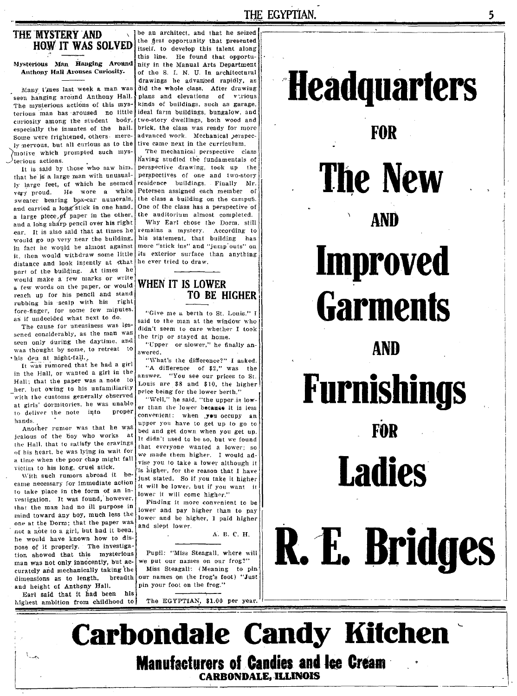## THE MYSTERY AND **HOW IT WAS SOLVED**

Mysterious Man Hanging Around Anthony Hall Arouses Curiosity.

Many t'mes last week a man was seen hanging around Anthony Hall. The mysterious actions of this mysterious man has aroused no little curiosity among the student body, especially the inmates of the hall. Some were frightened, others merely mervous, but all curious as to the motive which prompted such mys- $\lambda$ <sub>terious</sub> actions.

It is said by those who saw him, that he is a large man with unusually large feet, of which he seemed He wore a white very proud. sweater bearing box-car numerals, and carried a long stick in one hand, a large piece, of paper in the other, and a long sharp pencil over his right ear. It is also said that at times he would go up very near the building. in fact he would be almost against it, then would withdraw some little distance and look intently at that part of the building. At times he would make a few marks or write a few words on the paper, or would reach up for his pencil and stand rubbing his sealp with his right fore-finger, for some few minutes. as if undecided what next to do.

The cause for uneasiness was lessened considerably, as the man was seen only during the daytime, and was thought by some, to retreat to · his den at night-fall.

It was rumored that he had a girl in the Hall, or wanted a girl in the Hall; that the paper was a note to her, but owing to his unfamiliarity with the customs generally observed at girls' dormitories, he was unable to deliver the note into proper hands.

Another rumor was that he was jealous of the boy who works at the Hall, that to satisfy the cravings of his heart, he was lying in wait for a time when the poor chap might fall victim to his long, cruel stick.

With such rumors abroad it became necessary for immediate action to take place in the form of an investigation. It was found, however, that the man had no ill purpose in mind toward any boy, much less the one at the Dorm; that the paper was not a note to a girl, but had it been, he would have known how to dispose of it properly. The investigation showed that this mysterious man was not only innocently, but accurately and mechanically taking the dimensions as to length, breadth and height of Anthony Hall.

Earl said that it had been his highest ambition from childhood to

be an architect, and that he seized the first opportunity that presented itself, to develop this talent along this line. He found that opportunity in the Manual Arts Department of the S. I. N. U. In architectural drawings he advanced rapidly, as did the whole class. After drawing plans and elevations of various kinds of buildings, such as garage, ideal farm buildings, bungalow, and two-story dwellings, both wood and brick, the class was ready for more advanced work. Mechanical perspective came next in the curriculum.

The mechanical perspective class having studied the fundamentals of perspective drawing, took up the perspectives of one and two-story residence buildings. Finally Mr. Petersen assigned each member of the class a building on the campus. One of the class has a perspective of the auditorium almost completed.

Why Earl chose the Dorm, still remains a mystery. According to his statement, that building has more "stick ins" and "jump outs" on its exterior surface than anything he ever tried to draw.

## WHEN IT IS LOWER **TO BE HIGHER**

"Give me a berth to St. Louis." I said to the man at the window who didn't seem to care whether I took the trip or stayed at home.

"Upper or slower," he finally answered.

"What's the difference?" I asked. "A difference of \$2," was the answer. "You see our prices to St. Louis are \$8 and \$10, the higher price being for the lower berth."

"Well," he said, "the upper is lower than the lower because it is less convenient: when you occupy an upper you have to get up to go to bed and get down when you get up. It didn't used to be so, but we found that everyone wanted a lower; so we made them higher. I would advise you to take a lower although it is higher, for the reason that I have just stated. So if you take it higher it will be lower, but if you want it lower it will come higher."

Finding it more convenient to be lower and pay higher than to pay lower and be higher, I paid higher and slept lower.

A. B. C. H.

Pupil: "Miss Steagall, where will we put our names on our frog?" Miss Steagall: (Meaning to pin our names on the frog's foot) "Just pin your foot on the frog."

The EGYPTIAN, \$1.00 per year.

FOR **The New** AND **Improved Garments AND Furnishings** FOR **Ladies** R. E. Bridges

**Headquarters** 

**Carbondale Candy Kitchen Manufacturers of Candies and lee Cream CARBONDALE, ILLINOIS**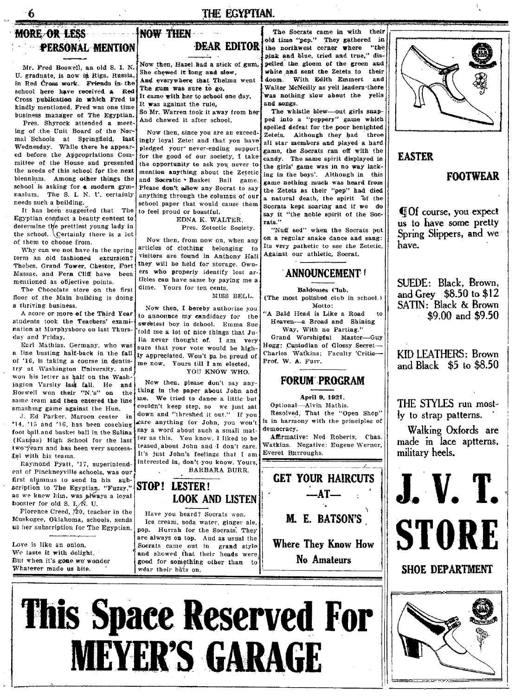## THE EGYPTIAN.

**DEAR EDITOR** 

## MORE OR LESS **PERSONAL MENTION**

 $\boldsymbol{6}$ 

Mr. Fred Boswell, an old S. I. N. U. graduate, is now in Riga, Russia, in Red Cross work. Friends in the school here have received a Red Cross publication in which Fred is kindly mentioned. Fred was one time business manager of The Egyptian.

Pres. Shyrock attended a meeting of the Unit Board of the Normal Schools at Springfield, last Wednesday. While there he appeared before the Appropriations Committee of the House and presented the needs of this school for the next biennium. Among other things the school is asking for a modern gymnasium. The S. I. N. U. certainly needs such a building.

It has been suggested that The Egyptian conduct a beauty contest to determine the prettiest young lady in the school. Certainly there is a lot of them to choose from.

Why can we not have in the spring term an old fashioned excursion? Thebes, Grand Tower, Chester, Fort Massac, and Fern Cliff have been mentioned as objective points.

The Chocolate store on the first floor of the Main building is doing a thriving business.

A score or more of the Third Year! students took the Teachers' examination at Murphysboro on last Thursday and Friday.

Earl Mathias, Germany, who was a line busting half-back in the fall of '16, is taking a course in dentistry at Washington University, and won his letter as half on the Washington Varsity last fall. He and Boswell won their "N.'s" on the same team and then entered the line smashing game against the Hun.

J. Ed Parker, Maroon center in '14, '15 and '16, has been coaching foot ball and basket ball in the Salina (Kangas) High School for the last two years and has been very successful with his teams.

Raymond Pyatt, '17, superintendent of Pinckneyville schools, was our first alumnus to send in his subscription to The Egyptian. "Fuzzy," as we knew him, was always a loyal booster for old S. I.  $\overline{M}$ . U.

Florence Creed,  $/20$ , teacher in the Muskogee, Oklahoma, schools, sends us her subscription for The Egyptian.

Love is like an onion. We taste it with delight. But when it's gone we wonder Whatever made us bite.

Now then, Hazel had a stick of guni. She chewed it long and slow, And everywhere that Thelma went The gum was sure to go. It came with her to school one day. It was against the rule,

So Mr. Warren took it away from her And chewed it after school.

**INOW THEN** 

Now then, since you are an exceedingly loyal Zetet and that you have pledged your never-ending support for the good of our society. I take the opportunity to ask you never to mention anything about the Zetetic and Socratic \* Basket Ball game. Please don't allow any Socrat to say anything through the columns of our school paper that would cause them to feel proud or boastful.

EDNA K. WALTER. Pres. Zetectic Society.

Now then, from now on, when any articles of clothing belonging to visitors are found in Anthony Hall they will be held for storage. Owners who properly identify lost arficles can have same by paying me a dime. Yours for ten cents.

MISS RELL

Now then, I hereby authorize you to announce my candidacy for the sweetest boy in school. Emma Sue told me a lot of nice things that Julia never thought of. I am very sure that your vote would be highly appreciated. Won't pa be proud of me now. Yours till I am elected, YOU KNOW WHO.

Now then, please don't say anything in the paper about John and me. We tried to dance a little but couldn't keep step, so we just sat down and "threshed it out." If you care anything for John, you won't say a word about such a small matter as this. You know, I liked to be teased about John and I don't care. It's just John's feelings that I am interested in, don't you know. Yours, BARBARA BURR.

## STOP! LESTER! **LOOK AND LISTEN**

Have you heard? Socrats won. Ice cream, soda water, ginger ale, pop. Hurrah for the Socrats. They are always on top. And as usual the Socrats came out in grand style and showed that their heads were good for something other than to wear their hats on.

The Socrats came in with their old time "pep." They gathered in "the the northwest corner where pink and blue, tried and true," dispelled the gloom of the green and white and sent the Zetets to their doom. With Edith Emmert  $a \overline{a}$ Walter McNeilly as yell leaders there was nothing slow about the yells and songs.

The whistle blew-out girls snapped into a "peppery" game which spelled defeat for the poor benighted Zetets. Although they had three all star members and played a hard game, the Socrats ran off with the candy. The same spirit displayed in the girls' game was in no way lacking in the boys'. Although in this game nothing much was heard from the Zetets as their "pep" had died a natural death, the spirit <sup>7</sup>of the Socrats kept soaring and if we do say it "the noble spirit of the Socrats."

"Nuff sed" when the Socrats put on a regular snake dance and sang: Its very pathetic to see the Zetetic, Against our athletic, Socrat.

## **ANNOUNCEMENT!**

Baldomes Club. (The most polished club in school.) Motto: 'A Bald Head is Like a Road to Heaven-a Broad and Shining Way, With no Parting." Grand Worshipful Master-Guy Hogg; Custodian of Glossy Secret-Charles Watkins: Faculty 'Critic-Prof. W. A. Furr.

## **FORUM PROGRAM**

## April 9, 1921.

Optional-Alvin Mathis. Resolved, That the "Open Shop" is in harmony with the principles of democracy.

Affirmative: Ned Roberts. Chas. Watkins. Negative: Eugene Werner, Everet Burroughs.

**GET YOUR HAIRCUTS**  $-AT$ — **M. E. BATSON'S Where They Know How** 







## **EASTER**

## **FOOTWEAR**

**If Of course, you expect** us to have some pretty Spring Slippers, and we have.

SUEDE: Black. Brown, and Grev \$8.50 to \$12 SATIN: Black & Brown \$9.00 and \$9.50

KID LEATHERS: Brown and Black \$5 to \$8.50

THE STYLES run mostly to strap patterns.

Walking Oxfords are made in lace aptterns, militarv heels.



SHOE DEPARTMENT

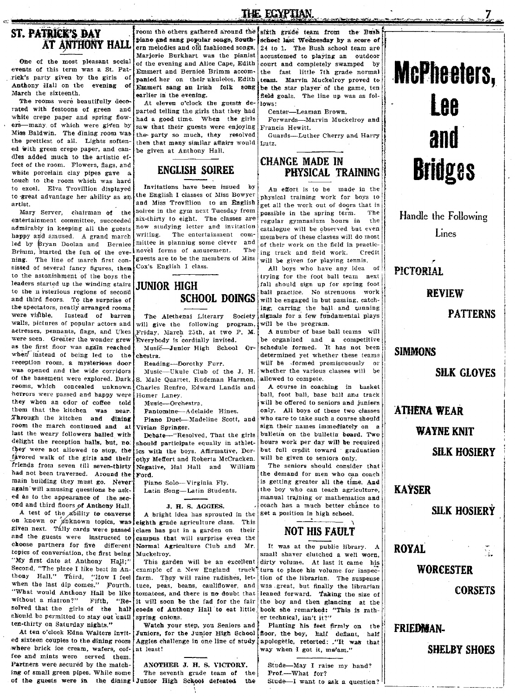## ST. PATRICK'S DAY AT ANTHONY HALL

events of this term was a St. Pat- $\sum_{n=1}^{\infty}$  Emmert and Bernice Brimm accom-<br>rick's party given by the girls of panied her on their ukuleles Edith rick's party given by the girls of panied her on their ukuleles. Edith half and the experiment same an Irish folk some Anthony Hall on the evening of Emmert sang an Irish folk song March the sixteenth. March the sixteenth. earlier in the evening.

The rooms were beautifully deco- $\begin{array}{c} \text{At eleven order} \\ \text{at el} \\ \text{marked telling the girls that they had} \end{array}$ rated with festoons of green and parted telling the girls that they had<br>white crepe paper and spring flow-land a good time. When the girls white crepe paper and spring flow- had a good time. When the girls ers—many of which were given by saw that their guests were enjoying ers—many of which were given by saw that their guests were enjoying<br>Miss Baldwin. The dining room was the narty so much they resolved the prettiest of all. Lights soften- then that many similar affairs would ed with green crepe paper, and can- be given at Anthony Hall. dles added much to the artistic effeet of the room. Flowers, flags, and white porcelain clay pipes gave a touch to the room which was hard to excel. Elva Trovillion displayed Invitations have been issued by An effort is to be made in the Independent of the English I classes of Miss Bowyer physical training work for boys to

entertainment committee, succeeded six-thirty to eight. The classes are regular gymnasium hours in the admirably in keeping all the guests now studying letter and invitation catalogue will be observed but even admirably in keeping all the guests now studying letter and invitation catalogue will be observed but even<br>happy and amused. A grand march writing. The entertainment com- members of these classes will do most led by Bryan Doolan and Bernice mittee is planning some clever and<br>Brimm, started the finn of the eye- novel forms of amusement. The Brimm, started the fun of the eve- novel forms of amusement. The ing track and field work. Credit rims, the integration of the event of the integration of the integration of the integration of the integration of the integ ning. The line of march first con-<br>sisted of several fancy figures then  $\begin{bmatrix} \text{Cox's English I class.} \\ \text{Cox's English I class.} \end{bmatrix}$  all hove who have any idea sisted of several fancy figures, then  $\begin{bmatrix} \text{Cox's English I class.} \\ \text{to the astonishing for the foot ball team next.} \end{bmatrix}$ to the astonishment of the boys the<br>leaders started up the winding stairs leaders started up the winding stairs **JUNIOR HIGH fall should sign up for spring foot** to the n vsterious regions of second **JUNIOR HIGH** and third floors. To the surprise of the spectators, neatly arranged rooms the spectators, neatly arranged rooms in the spectators, ing, carring the ball and running the ball and running were visible. Instead of barren The Alethenai Literary Society signals for a few fundamental plays were visible. Instead of barren The Alethenai Literary Society signals for a few fundamental plays walls, pictures of popular actors and will give the following program, will be the program. walls, pictures of popular actors and will give the following program, will be the program.<br>actresses, pennants, flags, and Ukes Friday, March 25th, at two P. M. A number of base ball teams will actresses, pennants, flags, and Ukes Friday, March 25th, at two P. M. A number of base ball teams will<br>were seen. Greater the wonder grew Everybody is cordially invited. be organized and a competitive<br>as the first floor w as the first floor was again reached  $\overline{\text{Music}}$ -Junior High School Or-<br>when instead of being led to the chestra. when<sup>t</sup> instead of being led to the chestra.  $\begin{bmatrix} \text{d} \\ \text{d} \end{bmatrix}$  determined yet whether these teams reception room, a mysterious door Reading---Porothy Furr.  $\begin{bmatrix} \text{will be } \\ \text{will be } \\ \text{formed principles of the image.} \end{bmatrix}$ reception room, a mysterious door Reading---Dorothy Furr.  $\begin{bmatrix} \text{will be } \text{formed promiscuously} \\ \text{was opened and the wide corridors} \end{bmatrix}$  Music--Ukule Club of the J. H. whether the various classes will be was opened and the wide corridors Music-Ukule Club of the J. H. whether the various classes will be of the basement were explored. Dark, S. Male Quartet. Rudeman Harmon, allowed to compete. of the basement were explored. Dark. S. Male Quartet, Rudeman Harmon, allowed to compete.<br>reoms, which concealed unknown Charles Renfro, Edward Landis and A course in coaching in basket horrors were passed and happy were Homer Laney.<br>they when an odor of coffee told Music.....Orc. them that the kitchen was near. Pantomine----Adelaide Hines. Only. All boys of these two classes Through the kitchen and dining Piano Duet---Madeline Scott, and who care to take such a course should Through the kitchen and dining room the march continued and at Vivian Springer.<br>last the weary followers halled with Debate—"Resolved, That the girls last the weary followers hailed with delight the reception halls, but, no. delight the reception halls, but, no; should participate equally in athlet-<br>they were not allowed to stop, the tics with the hoys. Affirmative, Dorthey were not allowed to stop, the  $\frac{1}{1}$ ics with the boys. Affirmative, Dor-<br>favored walk of the girls and their lothy Meffert and Roberta McCracken. iavored walk of the girls and their othy Meffert and Roberta McCracken.<br>friends from seven till seven-thirty Negative, Hal Hall and William had not been traversed. Around the Ford. main building they must go. Never' Piano Solo--- Virginia Fly. again' will amusing questions be ask- Latin Song-Latin Students.

on known or  $\overline{1}$  inknown topics, was eighth grade agriculture class. This  $\overline{1}$   $\overline{1}$   $\overline{1}$   $\overline{1}$   $\overline{1}$   $\overline{1}$   $\overline{1}$   $\overline{1}$   $\overline{1}$   $\overline{1}$   $\overline{1}$   $\overline{1}$   $\overline{1}$   $\overline{1}$   $\overline{1}$   $\overline{1}$ given next. Tally cards were passed class has put in a garden on their and the guests were instructed to campus that will surprise even the and the guests were instructed to eampus that will surprise even the choose partners for five different Normal Agriculture Club and Mr. choose partners for five different Normal Agriculture Club and Mr. It was at the public library. A copics of conversation, the first being Muckelroy. topics of conversation, the first being Muckelroy.<br>"My first date at Anthony Hall:" | This garden will be an excellent dirty volume. At last it came, his Second, "The place I like best in An- $\vert$  example of a New Englard truck turn to place his volume for inspection of the librarian. The suspense thony Hall." Third, "How I feel farm. They will raise radishes, let- tion of the librarian. The suspeuse<br>when the last dip comes." Fourth, tuce, peas, beans, cauliflower, and was great, but finally the librarian when the last dip comes." Fourth, tuce, peas, beans, cauliflower, and was great, but finally the librarian "What would Anthony Hall be like tomatoes, and there is no doubt that leaned forward. Taking the size of "What would Anthony Hall be like tomatoes, and there is no doubt that leaned forward. Taking the size of without a minimum of  $\frac{1}{2}$  with  $\frac{1}{2}$  without a minimum of the  $\frac{1}{2}$  without a minimum of the size of without a matron?" Fifth, "Re- $\begin{bmatrix}$ it will soon be the fad for the fair the boy and then glancing at the solved that the girls of the half coeds of Anthony Hall to eat little book she remarked: "This is rathshould be permitted to stay out until spring onions.<br>
ten-thirty on Saturday nights." Watch your step, you Seniors and

At ten o'clock Edna Walters invit-Juniors, for the Junior High School floor, the boy, half defiant, half<br>ed sixteen couples to the dining room Aggies challenge in one line of study apologetic, retorted; "It was that where brick ice cream, wafers, cof- at least! fee and mints were served them. Partners were secured by the match- ANOTHER J. H. S. VICTORY. ing of small green pipes. While some of the guests were in the dining Junior High School defeated

room the others gathered around the piano and sang popular songs, Southern melodies and old fashioned songs. Marjorie Burkhart was the pianist One of the most pleasant social of the evening and Alice Cape, Edith events of this term was a St. Pat- $\frac{1}{2}$ Emmert and Bernice Brimm accom-

the party so much, they resolved

## **ENGLISH SOIREE**

Charles Renfro, Edward Landis and **A** course in coaching in hasket Homer Laney

Negative, Hal Hall and William

A bright idea has sprouted in the

This garden will be an excellent dirty volume. At last it came his example of a New England truck turn to place his volume for inspeccoeds of Anthony Hall to eat little book she remarked: "This is rath-<br>spring onions. <br>In the rechnical, isn't it?"

d-thirty on Saturday nights." | Watch your step, you Seniors and Planting his feet firmly on the At ten o'clock Edna Walters invit- Juniors, for the Junior High School floor, the boy, half defiant, half Aggies challenge in one line of study apologetic, retorted:  $\cdot$  "It was that

> The seventh grade team of the the

sfith grade team from the Bush school last Wednesday by a score of 24 to 1. The Bush school team are accustomed to playing an outdoor court and completely swamped by the fast little 7th grade normal team. Marvin Muckelroy proved to be the star player of the game, ten field goals. The line up was as follows:

Center-Leaman Brown.

Forwards-Marvin Muckelroy and Francis Hewitt.

Guards-Luther Cherry and Harry Lautz.

## **CHANGE MADE IN PHYSICAL TRAINING**

the English I classes of Miss Bowyer physical training work for boys to and Miss Trovillion to an English  $\frac{1}{k}$  code all the English fort of doors that is artist,<br>Mary Server, chairman of the solice in the gym next Tuesday from negible in the enviror term The Mary Server, chairman of the solive in the gym next Tuesday from possible in the spring term. The electrician of the spring term. The electrician of the spring term. writing. The entertainment com- members of these classes will do most mittee is planning some clever and  $\frac{1}{\alpha}$  their work on the field in practic-

**SCHOOL DOINGS** will be engaged in but passing, catch-

Music-Orchestra. <br>
Pantomine-Adelaide Hines. Only. All boys of these two classes sign their names immediately on a buHetin on the bulletin board. Two hours work per day will be required but full credit toward graduation will be given to seniors only.

The seniors should consider that the demand for men who can coach is getting greater all the time. And the boy who can teach agriculture,<br>manual training or mathematics and ed as to the appearance of the sec-<br>  $\begin{array}{c|c|c|c|c|c|c|c|c} \hline \text{and third floors of } \text{Antbony Hall} \end{array}$   $\begin{array}{c|c|c|c} \hline \text{and third floors of } \text{Antbony Hall} \end{array}$ ond and third floors of Anthony Hall. J. H. S. AGGIES. coach has a much better change of the  $\alpha$  and  $\alpha$  and  $\alpha$  to converse  $\alpha$ . A bright idea has sprouted in the set a position in high school.

way when I got it, ma'am."

Stude-May I raise my hand? Prof.---What for? Stude-I want to ask a question?



Handle the Following Lines

**PICTORIAL** 

**REVIEW'** 

**PATTERNS** 

**SIMMONS** 

**SILK GLOVES** 

**ATIJENA WEAR** 

WAYNE KNIT

**SILK HOSIERY** 

**KAYsER** 

**SILK HOSIERY** 

**ROYAL** 

**WORCESTER** 

**CORSETS** 

**FRIEDMAN-**

**SHELBY SHOES**